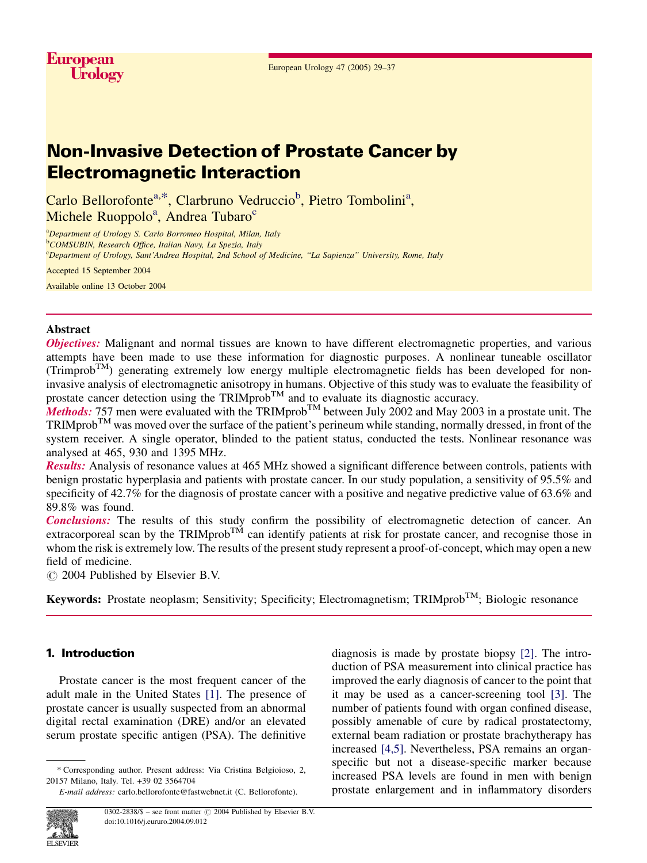# Non-Invasive Detection of Prostate Cancer by Electromagnetic Interaction

Carlo Bellorofonte<sup>a,\*</sup>, Clarbruno Vedruccio<sup>b</sup>, Pietro Tombolini<sup>a</sup>, Michele Ruoppolo<sup>a</sup>, Andrea Tubaro<sup>c</sup>

<sup>a</sup>Department of Urology S. Carlo Borromeo Hospital, Milan, Italy <sup>b</sup>COMSUBIN, Research Office, Italian Navy, La Spezia, Italy <sup>c</sup>Department of Urology, Sant'Andrea Hospital, 2nd School of Medicine, "La Sapienza" University, Rome, Italy

Accepted 15 September 2004

Available online 13 October 2004

# Abstract

**Objectives:** Malignant and normal tissues are known to have different electromagnetic properties, and various attempts have been made to use these information for diagnostic purposes. A nonlinear tuneable oscillator  $(Trimprob<sup>TM</sup>)$  generating extremely low energy multiple electromagnetic fields has been developed for noninvasive analysis of electromagnetic anisotropy in humans. Objective of this study was to evaluate the feasibility of prostate cancer detection using the TRIMprob<sup>TM</sup> and to evaluate its diagnostic accuracy.

**Methods:** 757 men were evaluated with the TRIMprob<sup>TM</sup> between July 2002 and May 2003 in a prostate unit. The  $TRIMprob^{TM}$  was moved over the surface of the patient's perineum while standing, normally dressed, in front of the system receiver. A single operator, blinded to the patient status, conducted the tests. Nonlinear resonance was analysed at 465, 930 and 1395 MHz.

Results: Analysis of resonance values at 465 MHz showed a significant difference between controls, patients with benign prostatic hyperplasia and patients with prostate cancer. In our study population, a sensitivity of 95.5% and specificity of 42.7% for the diagnosis of prostate cancer with a positive and negative predictive value of 63.6% and 89.8% was found.

Conclusions: The results of this study confirm the possibility of electromagnetic detection of cancer. An extracorporeal scan by the TRIMprob<sup>TM</sup> can identify patients at risk for prostate cancer, and recognise those in whom the risk is extremely low. The results of the present study represent a proof-of-concept, which may open a new field of medicine.

 $\circ$  2004 Published by Elsevier B.V.

**Keywords:** Prostate neoplasm; Sensitivity; Specificity; Electromagnetism; TRIMprob<sup>TM</sup>; Biologic resonance

# 1. Introduction

Prostate cancer is the most frequent cancer of the adult male in the United States [\[1\].](#page-7-0) The presence of prostate cancer is usually suspected from an abnormal digital rectal examination (DRE) and/or an elevated serum prostate specific antigen (PSA). The definitive

diagnosis is made by prostate biopsy [\[2\].](#page-7-0) The introduction of PSA measurement into clinical practice has improved the early diagnosis of cancer to the point that it may be used as a cancer-screening tool [\[3\].](#page-7-0) The number of patients found with organ confined disease, possibly amenable of cure by radical prostatectomy, external beam radiation or prostate brachytherapy has increased [\[4,5\].](#page-7-0) Nevertheless, PSA remains an organspecific but not a disease-specific marker because increased PSA levels are found in men with benign prostate enlargement and in inflammatory disorders



<sup>\*</sup> Corresponding author. Present address: Via Cristina Belgioioso, 2, 20157 Milano, Italy. Tel. +39 02 3564704

E-mail address: carlo.bellorofonte@fastwebnet.it (C. Bellorofonte).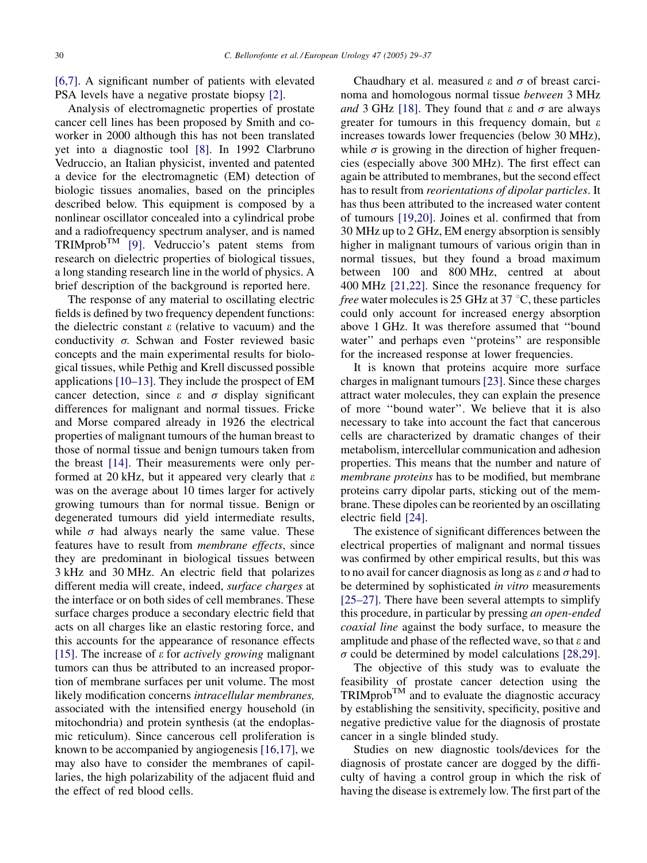[\[6,7\].](#page-7-0) A significant number of patients with elevated PSA levels have a negative prostate biopsy [\[2\]](#page-7-0).

Analysis of electromagnetic properties of prostate cancer cell lines has been proposed by Smith and coworker in 2000 although this has not been translated yet into a diagnostic tool [\[8\].](#page-7-0) In 1992 Clarbruno Vedruccio, an Italian physicist, invented and patented a device for the electromagnetic (EM) detection of biologic tissues anomalies, based on the principles described below. This equipment is composed by a nonlinear oscillator concealed into a cylindrical probe and a radiofrequency spectrum analyser, and is named  $TRIMprob^{TM}$  [\[9\].](#page-7-0) Vedruccio's patent stems from research on dielectric properties of biological tissues, a long standing research line in the world of physics. A brief description of the background is reported here.

The response of any material to oscillating electric fields is defined by two frequency dependent functions: the dielectric constant  $\varepsilon$  (relative to vacuum) and the conductivity  $\sigma$ . Schwan and Foster reviewed basic concepts and the main experimental results for biological tissues, while Pethig and Krell discussed possible applications [\[10–13\].](#page-7-0) They include the prospect of EM cancer detection, since  $\varepsilon$  and  $\sigma$  display significant differences for malignant and normal tissues. Fricke and Morse compared already in 1926 the electrical properties of malignant tumours of the human breast to those of normal tissue and benign tumours taken from the breast [\[14\]](#page-7-0). Their measurements were only performed at 20 kHz, but it appeared very clearly that  $\varepsilon$ was on the average about 10 times larger for actively growing tumours than for normal tissue. Benign or degenerated tumours did yield intermediate results, while  $\sigma$  had always nearly the same value. These features have to result from membrane effects, since they are predominant in biological tissues between 3 kHz and 30 MHz. An electric field that polarizes different media will create, indeed, surface charges at the interface or on both sides of cell membranes. These surface charges produce a secondary electric field that acts on all charges like an elastic restoring force, and this accounts for the appearance of resonance effects [\[15\].](#page-7-0) The increase of  $\varepsilon$  for *actively growing* malignant tumors can thus be attributed to an increased proportion of membrane surfaces per unit volume. The most likely modification concerns *intracellular membranes*, associated with the intensified energy household (in mitochondria) and protein synthesis (at the endoplasmic reticulum). Since cancerous cell proliferation is known to be accompanied by angiogenesis [\[16,17\],](#page-7-0) we may also have to consider the membranes of capillaries, the high polarizability of the adjacent fluid and the effect of red blood cells.

Chaudhary et al. measured  $\varepsilon$  and  $\sigma$  of breast carcinoma and homologous normal tissue between 3 MHz and 3 GHz [\[18\].](#page-7-0) They found that  $\varepsilon$  and  $\sigma$  are always greater for tumours in this frequency domain, but  $\varepsilon$ increases towards lower frequencies (below 30 MHz), while  $\sigma$  is growing in the direction of higher frequencies (especially above 300 MHz). The first effect can again be attributed to membranes, but the second effect has to result from reorientations of dipolar particles. It has thus been attributed to the increased water content of tumours [\[19,20\]](#page-7-0). Joines et al. confirmed that from 30 MHz up to 2 GHz, EM energy absorption is sensibly higher in malignant tumours of various origin than in normal tissues, but they found a broad maximum between 100 and 800 MHz, centred at about 400 MHz [\[21,22\]](#page-7-0). Since the resonance frequency for *free* water molecules is 25 GHz at 37  $\degree$ C, these particles could only account for increased energy absorption above 1 GHz. It was therefore assumed that ''bound water'' and perhaps even ''proteins'' are responsible for the increased response at lower frequencies.

It is known that proteins acquire more surface charges in malignant tumours [\[23\].](#page-7-0) Since these charges attract water molecules, they can explain the presence of more ''bound water''. We believe that it is also necessary to take into account the fact that cancerous cells are characterized by dramatic changes of their metabolism, intercellular communication and adhesion properties. This means that the number and nature of membrane proteins has to be modified, but membrane proteins carry dipolar parts, sticking out of the membrane. These dipoles can be reoriented by an oscillating electric field [\[24\]](#page-7-0).

The existence of significant differences between the electrical properties of malignant and normal tissues was confirmed by other empirical results, but this was to no avail for cancer diagnosis as long as  $\varepsilon$  and  $\sigma$  had to be determined by sophisticated in vitro measurements [\[25–27\]](#page-7-0). There have been several attempts to simplify this procedure, in particular by pressing an open-ended coaxial line against the body surface, to measure the amplitude and phase of the reflected wave, so that  $\varepsilon$  and  $\sigma$  could be determined by model calculations [\[28,29\].](#page-7-0)

The objective of this study was to evaluate the feasibility of prostate cancer detection using the  $TRIMprob^{TM}$  and to evaluate the diagnostic accuracy by establishing the sensitivity, specificity, positive and negative predictive value for the diagnosis of prostate cancer in a single blinded study.

Studies on new diagnostic tools/devices for the diagnosis of prostate cancer are dogged by the difficulty of having a control group in which the risk of having the disease is extremely low. The first part of the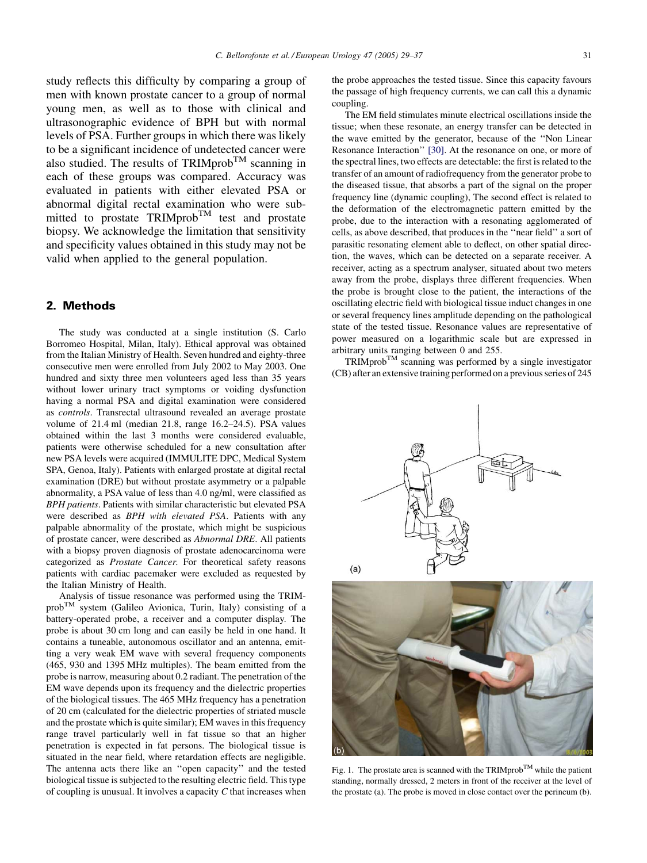<span id="page-2-0"></span>study reflects this difficulty by comparing a group of men with known prostate cancer to a group of normal young men, as well as to those with clinical and ultrasonographic evidence of BPH but with normal levels of PSA. Further groups in which there was likely to be a significant incidence of undetected cancer were also studied. The results of TRIMprob<sup>TM</sup> scanning in each of these groups was compared. Accuracy was evaluated in patients with either elevated PSA or abnormal digital rectal examination who were submitted to prostate TRIMprob<sup>TM</sup> test and prostate biopsy. We acknowledge the limitation that sensitivity and specificity values obtained in this study may not be valid when applied to the general population.

# 2. Methods

The study was conducted at a single institution (S. Carlo Borromeo Hospital, Milan, Italy). Ethical approval was obtained from the Italian Ministry of Health. Seven hundred and eighty-three consecutive men were enrolled from July 2002 to May 2003. One hundred and sixty three men volunteers aged less than 35 years without lower urinary tract symptoms or voiding dysfunction having a normal PSA and digital examination were considered as controls. Transrectal ultrasound revealed an average prostate volume of 21.4 ml (median 21.8, range 16.2–24.5). PSA values obtained within the last 3 months were considered evaluable, patients were otherwise scheduled for a new consultation after new PSA levels were acquired (IMMULITE DPC, Medical System SPA, Genoa, Italy). Patients with enlarged prostate at digital rectal examination (DRE) but without prostate asymmetry or a palpable abnormality, a PSA value of less than 4.0 ng/ml, were classified as BPH patients. Patients with similar characteristic but elevated PSA were described as BPH with elevated PSA. Patients with any palpable abnormality of the prostate, which might be suspicious of prostate cancer, were described as Abnormal DRE. All patients with a biopsy proven diagnosis of prostate adenocarcinoma were categorized as Prostate Cancer. For theoretical safety reasons patients with cardiac pacemaker were excluded as requested by the Italian Ministry of Health.

Analysis of tissue resonance was performed using the TRIMprobTM system (Galileo Avionica, Turin, Italy) consisting of a battery-operated probe, a receiver and a computer display. The probe is about 30 cm long and can easily be held in one hand. It contains a tuneable, autonomous oscillator and an antenna, emitting a very weak EM wave with several frequency components (465, 930 and 1395 MHz multiples). The beam emitted from the probe is narrow, measuring about 0.2 radiant. The penetration of the EM wave depends upon its frequency and the dielectric properties of the biological tissues. The 465 MHz frequency has a penetration of 20 cm (calculated for the dielectric properties of striated muscle and the prostate which is quite similar); EM waves in this frequency range travel particularly well in fat tissue so that an higher penetration is expected in fat persons. The biological tissue is situated in the near field, where retardation effects are negligible. The antenna acts there like an ''open capacity'' and the tested biological tissue is subjected to the resulting electric field. This type of coupling is unusual. It involves a capacity C that increases when

the probe approaches the tested tissue. Since this capacity favours the passage of high frequency currents, we can call this a dynamic coupling.

The EM field stimulates minute electrical oscillations inside the tissue; when these resonate, an energy transfer can be detected in the wave emitted by the generator, because of the ''Non Linear Resonance Interaction'' [\[30\].](#page-7-0) At the resonance on one, or more of the spectral lines, two effects are detectable: the first is related to the transfer of an amount of radiofrequency from the generator probe to the diseased tissue, that absorbs a part of the signal on the proper frequency line (dynamic coupling), The second effect is related to the deformation of the electromagnetic pattern emitted by the probe, due to the interaction with a resonating agglomerated of cells, as above described, that produces in the ''near field'' a sort of parasitic resonating element able to deflect, on other spatial direction, the waves, which can be detected on a separate receiver. A receiver, acting as a spectrum analyser, situated about two meters away from the probe, displays three different frequencies. When the probe is brought close to the patient, the interactions of the oscillating electric field with biological tissue induct changes in one or several frequency lines amplitude depending on the pathological state of the tested tissue. Resonance values are representative of power measured on a logarithmic scale but are expressed in arbitrary units ranging between 0 and 255.

 $TRIMprob^{TM}$  scanning was performed by a single investigator (CB) after an extensive training performed on a previous series of 245





Fig. 1. The prostate area is scanned with the TRIMprob<sup>TM</sup> while the patient standing, normally dressed, 2 meters in front of the receiver at the level of the prostate (a). The probe is moved in close contact over the perineum (b).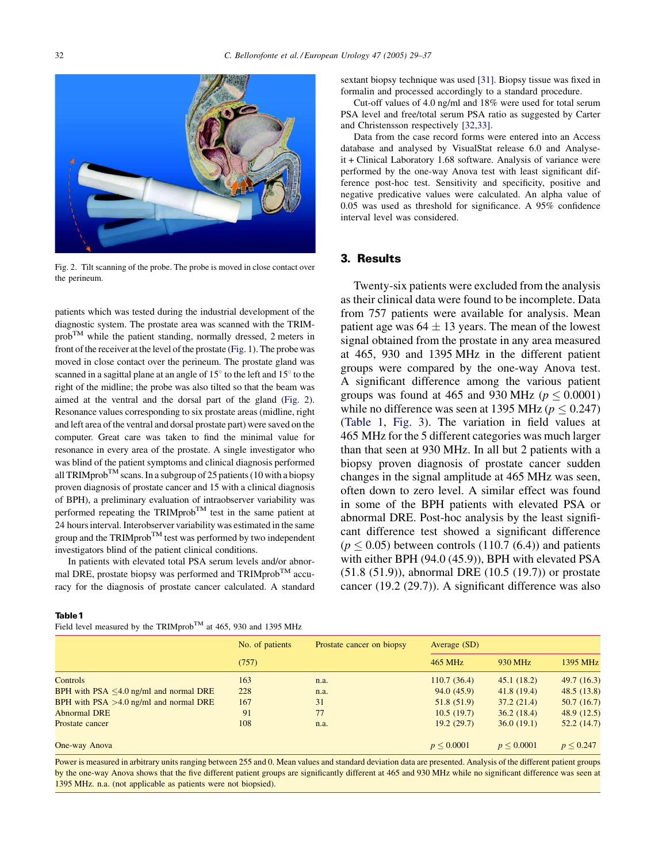

Fig. 2. Tilt scanning of the probe. The probe is moved in close contact over the perineum.

patients which was tested during the industrial development of the diagnostic system. The prostate area was scanned with the TRIM $prob^{TM}$  while the patient standing, normally dressed, 2 meters in front of the receiver at the level of the prostate ([Fig. 1](#page-2-0)). The probe was moved in close contact over the perineum. The prostate gland was scanned in a sagittal plane at an angle of  $15^{\circ}$  to the left and  $15^{\circ}$  to the right of the midline; the probe was also tilted so that the beam was aimed at the ventral and the dorsal part of the gland (Fig. 2). Resonance values corresponding to six prostate areas (midline, right and left area of the ventral and dorsal prostate part) were saved on the computer. Great care was taken to find the minimal value for resonance in every area of the prostate. A single investigator who was blind of the patient symptoms and clinical diagnosis performed all TRIMprob<sup>TM</sup> scans. In a subgroup of 25 patients (10 with a biopsy proven diagnosis of prostate cancer and 15 with a clinical diagnosis of BPH), a preliminary evaluation of intraobserver variability was performed repeating the TRIMprob<sup>TM</sup> test in the same patient at 24 hours interval. Interobserver variability was estimated in the same group and the  $TRIMprob^{TM}$  test was performed by two independent investigators blind of the patient clinical conditions.

In patients with elevated total PSA serum levels and/or abnormal DRE, prostate biopsy was performed and TRIMprob<sup>TM</sup> accuracy for the diagnosis of prostate cancer calculated. A standard sextant biopsy technique was used [\[31\].](#page-7-0) Biopsy tissue was fixed in formalin and processed accordingly to a standard procedure.

Cut-off values of 4.0 ng/ml and 18% were used for total serum PSA level and free/total serum PSA ratio as suggested by Carter and Christensson respectively [\[32,33\]](#page-7-0).

Data from the case record forms were entered into an Access database and analysed by VisualStat release 6.0 and Analyseit + Clinical Laboratory 1.68 software. Analysis of variance were performed by the one-way Anova test with least significant difference post-hoc test. Sensitivity and specificity, positive and negative predicative values were calculated. An alpha value of 0.05 was used as threshold for significance. A 95% confidence interval level was considered.

#### 3. Results

Twenty-six patients were excluded from the analysis as their clinical data were found to be incomplete. Data from 757 patients were available for analysis. Mean patient age was  $64 \pm 13$  years. The mean of the lowest signal obtained from the prostate in any area measured at 465, 930 and 1395 MHz in the different patient groups were compared by the one-way Anova test. A significant difference among the various patient groups was found at 465 and 930 MHz ( $p \leq 0.0001$ ) while no difference was seen at 1395 MHz ( $p \le 0.247$ ) (Table 1, [Fig. 3\)](#page-4-0). The variation in field values at 465 MHz for the 5 different categories was much larger than that seen at 930 MHz. In all but 2 patients with a biopsy proven diagnosis of prostate cancer sudden changes in the signal amplitude at 465 MHz was seen, often down to zero level. A similar effect was found in some of the BPH patients with elevated PSA or abnormal DRE. Post-hoc analysis by the least significant difference test showed a significant difference  $(p \le 0.05)$  between controls (110.7 (6.4)) and patients with either BPH (94.0 (45.9)), BPH with elevated PSA (51.8 (51.9)), abnormal DRE (10.5 (19.7)) or prostate cancer (19.2 (29.7)). A significant difference was also

#### Table 1

Field level measured by the TRIMprob<sup>TM</sup> at 465, 930 and 1395 MHz

|                                              | No. of patients | Prostate cancer on biopsy | Average (SD)   |                 |               |
|----------------------------------------------|-----------------|---------------------------|----------------|-----------------|---------------|
|                                              | (757)           |                           | 465 MHz        | 930 MHz         | 1395 MHz      |
| Controls                                     | 163             | n.a.                      | 110.7(36.4)    | 45.1(18.2)      | 49.7(16.3)    |
| BPH with $PSA \leq 4.0$ ng/ml and normal DRE | 228             | n.a.                      | 94.0(45.9)     | 41.8(19.4)      | 48.5(13.8)    |
| BPH with $PSA > 4.0$ ng/ml and normal DRE    | 167             | 31                        | 51.8(51.9)     | 37.2(21.4)      | 50.7(16.7)    |
| <b>Abnormal DRE</b>                          | 91              | 77                        | 10.5(19.7)     | 36.2(18.4)      | 48.9 (12.5)   |
| Prostate cancer                              | 108             | n.a.                      | 19.2(29.7)     | 36.0(19.1)      | 52.2(14.7)    |
| One-way Anova                                |                 |                           | $p \le 0.0001$ | $p \leq 0.0001$ | $p \le 0.247$ |

Power is measured in arbitrary units ranging between 255 and 0. Mean values and standard deviation data are presented. Analysis of the different patient groups by the one-way Anova shows that the five different patient groups are significantly different at 465 and 930 MHz while no significant difference was seen at 1395 MHz. n.a. (not applicable as patients were not biopsied).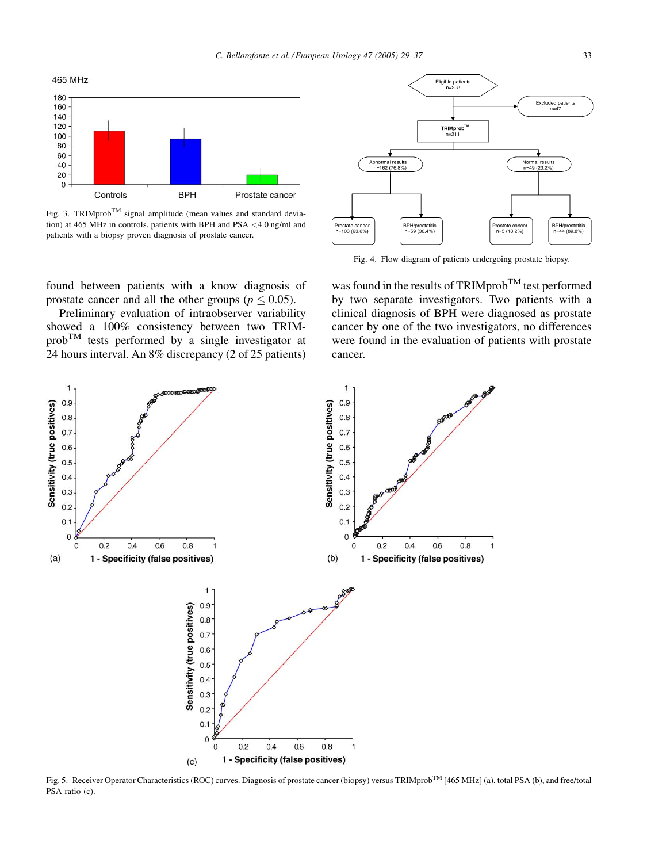<span id="page-4-0"></span>



Fig. 3. TRIMprob<sup>TM</sup> signal amplitude (mean values and standard deviation) at 465 MHz in controls, patients with BPH and PSA <4.0 ng/ml and patients with a biopsy proven diagnosis of prostate cancer.



Preliminary evaluation of intraobserver variability showed a 100% consistency between two TRIM $prob^{TM}$  tests performed by a single investigator at 24 hours interval. An 8% discrepancy (2 of 25 patients)



Fig. 4. Flow diagram of patients undergoing prostate biopsy.

was found in the results of TRIMprob<sup>TM</sup> test performed by two separate investigators. Two patients with a clinical diagnosis of BPH were diagnosed as prostate cancer by one of the two investigators, no differences were found in the evaluation of patients with prostate cancer.



Fig. 5. Receiver Operator Characteristics (ROC) curves. Diagnosis of prostate cancer (biopsy) versus TRIMprob<sup>TM</sup> [465 MHz] (a), total PSA (b), and free/total PSA ratio (c).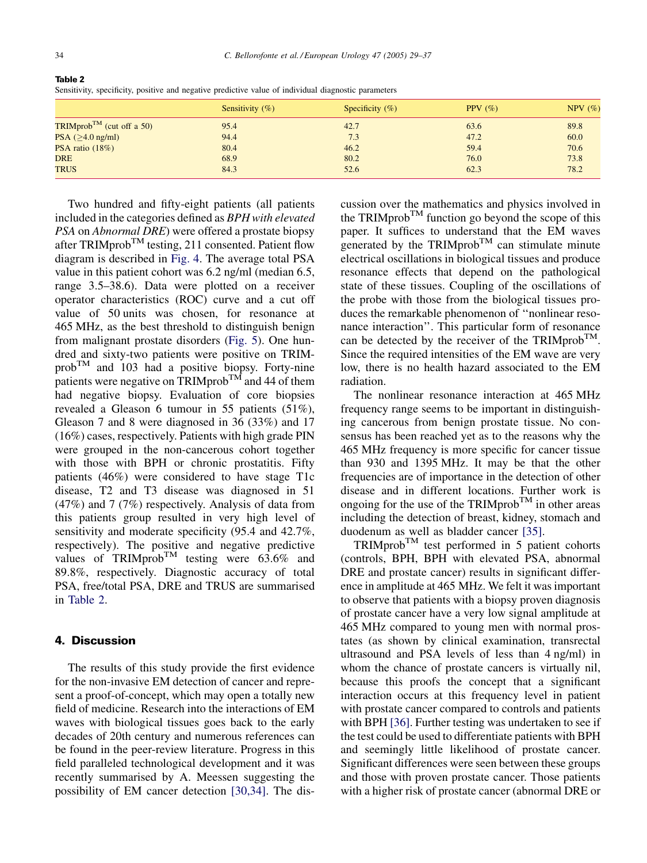| Sensitivity $(\% )$ | Specificity $(\% )$ | PPV $(\% )$ | $NPV$ (%) |
|---------------------|---------------------|-------------|-----------|
| 95.4                | 42.7                | 63.6        | 89.8      |
| 94.4                | 7.3                 | 47.2        | 60.0      |
| 80.4                | 46.2                | 59.4        | 70.6      |
| 68.9                | 80.2                | 76.0        | 73.8      |
| 84.3                | 52.6                | 62.3        | 78.2      |
|                     |                     |             |           |

Table 2 Sensitivity, specificity, positive and negative predictive value of individual diagnostic parameters

Two hundred and fifty-eight patients (all patients included in the categories defined as BPH with elevated PSA on Abnormal DRE) were offered a prostate biopsy after TRIMprob<sup>TM</sup> testing, 211 consented. Patient flow diagram is described in [Fig. 4](#page-4-0). The average total PSA value in this patient cohort was 6.2 ng/ml (median 6.5, range 3.5–38.6). Data were plotted on a receiver operator characteristics (ROC) curve and a cut off value of 50 units was chosen, for resonance at 465 MHz, as the best threshold to distinguish benign from malignant prostate disorders [\(Fig. 5](#page-4-0)). One hundred and sixty-two patients were positive on TRIM $prob^{TM}$  and 103 had a positive biopsy. Forty-nine patients were negative on  $TRIMprob^{TM}$  and 44 of them had negative biopsy. Evaluation of core biopsies revealed a Gleason 6 tumour in 55 patients (51%), Gleason 7 and 8 were diagnosed in 36 (33%) and 17 (16%) cases, respectively. Patients with high grade PIN were grouped in the non-cancerous cohort together with those with BPH or chronic prostatitis. Fifty patients (46%) were considered to have stage T1c disease, T2 and T3 disease was diagnosed in 51 (47%) and 7 (7%) respectively. Analysis of data from this patients group resulted in very high level of sensitivity and moderate specificity (95.4 and 42.7%, respectively). The positive and negative predictive values of TRIMprob<sup>TM</sup> testing were  $63.6\%$  and 89.8%, respectively. Diagnostic accuracy of total PSA, free/total PSA, DRE and TRUS are summarised in Table 2.

# 4. Discussion

The results of this study provide the first evidence for the non-invasive EM detection of cancer and represent a proof-of-concept, which may open a totally new field of medicine. Research into the interactions of EM waves with biological tissues goes back to the early decades of 20th century and numerous references can be found in the peer-review literature. Progress in this field paralleled technological development and it was recently summarised by A. Meessen suggesting the possibility of EM cancer detection [\[30,34\].](#page-7-0) The discussion over the mathematics and physics involved in the TRIMprob<sup>TM</sup> function go beyond the scope of this paper. It suffices to understand that the EM waves generated by the TRIMprob<sup>TM</sup> can stimulate minute electrical oscillations in biological tissues and produce resonance effects that depend on the pathological state of these tissues. Coupling of the oscillations of the probe with those from the biological tissues produces the remarkable phenomenon of ''nonlinear resonance interaction''. This particular form of resonance can be detected by the receiver of the TRIMprob<sup>TM</sup>. Since the required intensities of the EM wave are very low, there is no health hazard associated to the EM radiation.

The nonlinear resonance interaction at 465 MHz frequency range seems to be important in distinguishing cancerous from benign prostate tissue. No consensus has been reached yet as to the reasons why the 465 MHz frequency is more specific for cancer tissue than 930 and 1395 MHz. It may be that the other frequencies are of importance in the detection of other disease and in different locations. Further work is ongoing for the use of the TRIMprob<sup>TM</sup> in other areas including the detection of breast, kidney, stomach and duodenum as well as bladder cancer [\[35\].](#page-8-0)

 $TRIMprob^{TM}$  test performed in 5 patient cohorts (controls, BPH, BPH with elevated PSA, abnormal DRE and prostate cancer) results in significant difference in amplitude at 465 MHz. We felt it was important to observe that patients with a biopsy proven diagnosis of prostate cancer have a very low signal amplitude at 465 MHz compared to young men with normal prostates (as shown by clinical examination, transrectal ultrasound and PSA levels of less than 4 ng/ml) in whom the chance of prostate cancers is virtually nil, because this proofs the concept that a significant interaction occurs at this frequency level in patient with prostate cancer compared to controls and patients with BPH [\[36\]](#page-8-0). Further testing was undertaken to see if the test could be used to differentiate patients with BPH and seemingly little likelihood of prostate cancer. Significant differences were seen between these groups and those with proven prostate cancer. Those patients with a higher risk of prostate cancer (abnormal DRE or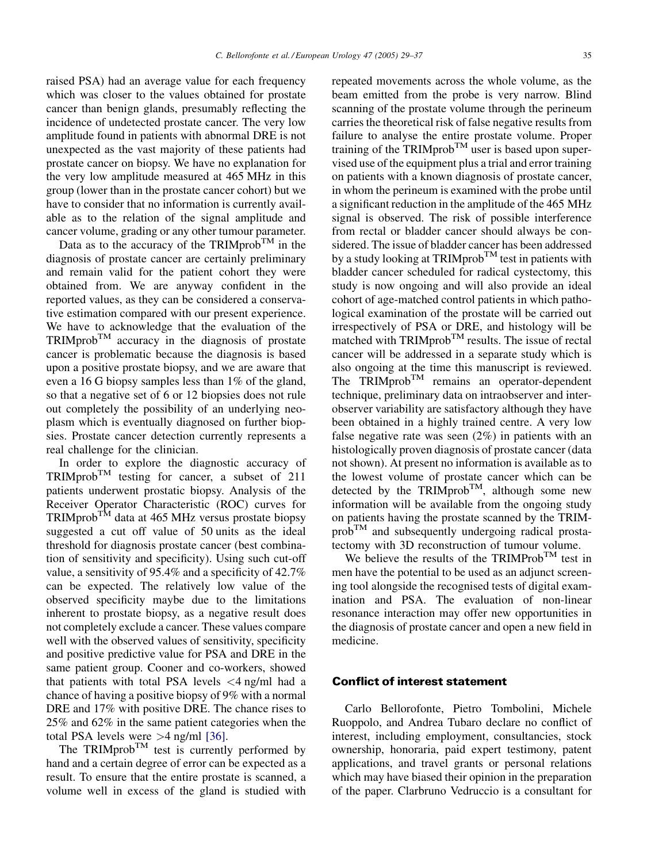raised PSA) had an average value for each frequency which was closer to the values obtained for prostate cancer than benign glands, presumably reflecting the incidence of undetected prostate cancer. The very low amplitude found in patients with abnormal DRE is not unexpected as the vast majority of these patients had prostate cancer on biopsy. We have no explanation for the very low amplitude measured at 465 MHz in this group (lower than in the prostate cancer cohort) but we have to consider that no information is currently available as to the relation of the signal amplitude and cancer volume, grading or any other tumour parameter.

Data as to the accuracy of the TRIMprob<sup>TM</sup> in the diagnosis of prostate cancer are certainly preliminary and remain valid for the patient cohort they were obtained from. We are anyway confident in the reported values, as they can be considered a conservative estimation compared with our present experience. We have to acknowledge that the evaluation of the  $TRIMprob^{TM}$  accuracy in the diagnosis of prostate cancer is problematic because the diagnosis is based upon a positive prostate biopsy, and we are aware that even a 16 G biopsy samples less than 1% of the gland, so that a negative set of 6 or 12 biopsies does not rule out completely the possibility of an underlying neoplasm which is eventually diagnosed on further biopsies. Prostate cancer detection currently represents a real challenge for the clinician.

In order to explore the diagnostic accuracy of TRIMprobTM testing for cancer, a subset of 211 patients underwent prostatic biopsy. Analysis of the Receiver Operator Characteristic (ROC) curves for  $TRIMprob<sup>TM</sup>$  data at 465 MHz versus prostate biopsy suggested a cut off value of 50 units as the ideal threshold for diagnosis prostate cancer (best combination of sensitivity and specificity). Using such cut-off value, a sensitivity of 95.4% and a specificity of 42.7% can be expected. The relatively low value of the observed specificity maybe due to the limitations inherent to prostate biopsy, as a negative result does not completely exclude a cancer. These values compare well with the observed values of sensitivity, specificity and positive predictive value for PSA and DRE in the same patient group. Cooner and co-workers, showed that patients with total PSA levels  $\langle 4 \rangle$  ng/ml had a chance of having a positive biopsy of 9% with a normal DRE and 17% with positive DRE. The chance rises to 25% and 62% in the same patient categories when the total PSA levels were >4 ng/ml [\[36\]](#page-8-0).

The TRIMprob<sup>TM</sup> test is currently performed by hand and a certain degree of error can be expected as a result. To ensure that the entire prostate is scanned, a volume well in excess of the gland is studied with

repeated movements across the whole volume, as the beam emitted from the probe is very narrow. Blind scanning of the prostate volume through the perineum carries the theoretical risk of false negative results from failure to analyse the entire prostate volume. Proper training of the  $TRIMprob^{TM}$  user is based upon supervised use of the equipment plus a trial and error training on patients with a known diagnosis of prostate cancer, in whom the perineum is examined with the probe until a significant reduction in the amplitude of the 465 MHz signal is observed. The risk of possible interference from rectal or bladder cancer should always be considered. The issue of bladder cancer has been addressed by a study looking at TRIMprob<sup>TM</sup> test in patients with bladder cancer scheduled for radical cystectomy, this study is now ongoing and will also provide an ideal cohort of age-matched control patients in which pathological examination of the prostate will be carried out irrespectively of PSA or DRE, and histology will be matched with  $TRIMprob^{TM}$  results. The issue of rectal cancer will be addressed in a separate study which is also ongoing at the time this manuscript is reviewed. The  $TRIMprob^{TM}$  remains an operator-dependent technique, preliminary data on intraobserver and interobserver variability are satisfactory although they have been obtained in a highly trained centre. A very low false negative rate was seen (2%) in patients with an histologically proven diagnosis of prostate cancer (data not shown). At present no information is available as to the lowest volume of prostate cancer which can be detected by the  $TRIMprob^{TM}$ , although some new information will be available from the ongoing study on patients having the prostate scanned by the TRIM $prob^{TM}$  and subsequently undergoing radical prostatectomy with 3D reconstruction of tumour volume.

We believe the results of the TRIMProb<sup>TM</sup> test in men have the potential to be used as an adjunct screening tool alongside the recognised tests of digital examination and PSA. The evaluation of non-linear resonance interaction may offer new opportunities in the diagnosis of prostate cancer and open a new field in medicine.

### Conflict of interest statement

Carlo Bellorofonte, Pietro Tombolini, Michele Ruoppolo, and Andrea Tubaro declare no conflict of interest, including employment, consultancies, stock ownership, honoraria, paid expert testimony, patent applications, and travel grants or personal relations which may have biased their opinion in the preparation of the paper. Clarbruno Vedruccio is a consultant for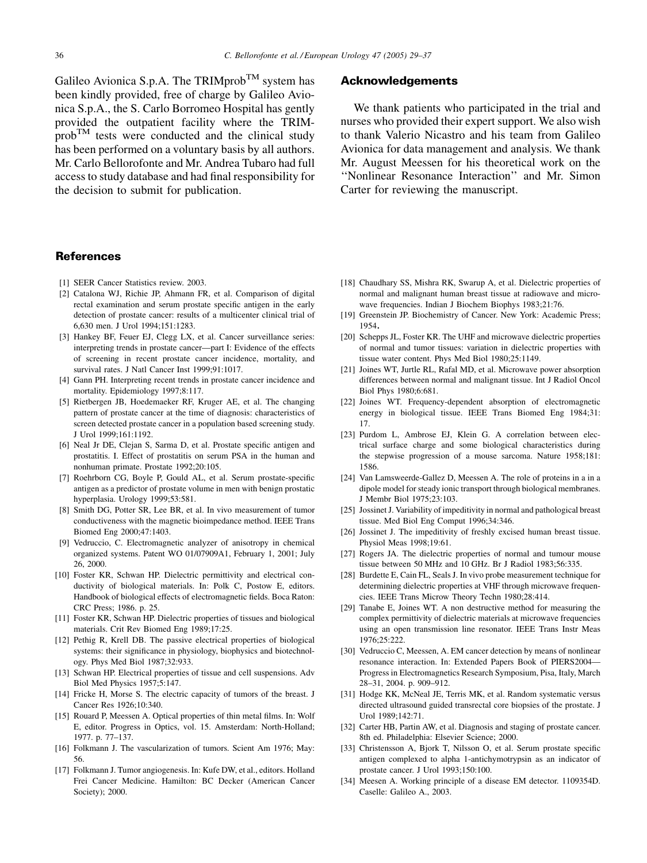<span id="page-7-0"></span>Galileo Avionica S.p.A. The TRIMprob<sup>TM</sup> system has been kindly provided, free of charge by Galileo Avionica S.p.A., the S. Carlo Borromeo Hospital has gently provided the outpatient facility where the TRIM $prob^{TM}$  tests were conducted and the clinical study has been performed on a voluntary basis by all authors. Mr. Carlo Bellorofonte and Mr. Andrea Tubaro had full access to study database and had final responsibility for the decision to submit for publication.

#### **References**

- [1] SEER Cancer Statistics review. 2003.
- [2] Catalona WJ, Richie JP, Ahmann FR, et al. Comparison of digital rectal examination and serum prostate specific antigen in the early detection of prostate cancer: results of a multicenter clinical trial of 6,630 men. J Urol 1994;151:1283.
- [3] Hankey BF, Feuer EJ, Clegg LX, et al. Cancer surveillance series: interpreting trends in prostate cancer—part I: Evidence of the effects of screening in recent prostate cancer incidence, mortality, and survival rates. J Natl Cancer Inst 1999;91:1017.
- [4] Gann PH. Interpreting recent trends in prostate cancer incidence and mortality. Epidemiology 1997;8:117.
- [5] Rietbergen JB, Hoedemaeker RF, Kruger AE, et al. The changing pattern of prostate cancer at the time of diagnosis: characteristics of screen detected prostate cancer in a population based screening study. J Urol 1999;161:1192.
- [6] Neal Jr DE, Clejan S, Sarma D, et al. Prostate specific antigen and prostatitis. I. Effect of prostatitis on serum PSA in the human and nonhuman primate. Prostate 1992;20:105.
- [7] Roehrborn CG, Boyle P, Gould AL, et al. Serum prostate-specific antigen as a predictor of prostate volume in men with benign prostatic hyperplasia. Urology 1999;53:581.
- [8] Smith DG, Potter SR, Lee BR, et al. In vivo measurement of tumor conductiveness with the magnetic bioimpedance method. IEEE Trans Biomed Eng 2000;47:1403.
- [9] Vedruccio, C. Electromagnetic analyzer of anisotropy in chemical organized systems. Patent WO 01/07909A1, February 1, 2001; July 26, 2000.
- [10] Foster KR, Schwan HP. Dielectric permittivity and electrical conductivity of biological materials. In: Polk C, Postow E, editors. Handbook of biological effects of electromagnetic fields. Boca Raton: CRC Press; 1986. p. 25.
- [11] Foster KR, Schwan HP. Dielectric properties of tissues and biological materials. Crit Rev Biomed Eng 1989;17:25.
- [12] Pethig R, Krell DB. The passive electrical properties of biological systems: their significance in physiology, biophysics and biotechnology. Phys Med Biol 1987;32:933.
- [13] Schwan HP. Electrical properties of tissue and cell suspensions. Adv Biol Med Physics 1957;5:147.
- [14] Fricke H, Morse S. The electric capacity of tumors of the breast. J Cancer Res 1926;10:340.
- [15] Rouard P, Meessen A. Optical properties of thin metal films. In: Wolf E, editor. Progress in Optics, vol. 15. Amsterdam: North-Holland; 1977. p. 77–137.
- [16] Folkmann J. The vascularization of tumors. Scient Am 1976; May: 56.
- [17] Folkmann J. Tumor angiogenesis. In: Kufe DW, et al., editors. Holland Frei Cancer Medicine. Hamilton: BC Decker (American Cancer Society); 2000.

#### Acknowledgements

We thank patients who participated in the trial and nurses who provided their expert support. We also wish to thank Valerio Nicastro and his team from Galileo Avionica for data management and analysis. We thank Mr. August Meessen for his theoretical work on the ''Nonlinear Resonance Interaction'' and Mr. Simon Carter for reviewing the manuscript.

- [18] Chaudhary SS, Mishra RK, Swarup A, et al. Dielectric properties of normal and malignant human breast tissue at radiowave and microwave frequencies. Indian J Biochem Biophys 1983;21:76.
- [19] Greenstein JP. Biochemistry of Cancer. New York: Academic Press; 1954.
- [20] Schepps JL, Foster KR. The UHF and microwave dielectric properties of normal and tumor tissues: variation in dielectric properties with tissue water content. Phys Med Biol 1980;25:1149.
- [21] Joines WT, Jurtle RL, Rafal MD, et al. Microwave power absorption differences between normal and malignant tissue. Int J Radiol Oncol Biol Phys 1980;6:681.
- [22] Joines WT. Frequency-dependent absorption of electromagnetic energy in biological tissue. IEEE Trans Biomed Eng 1984;31: 17.
- [23] Purdom L, Ambrose EJ, Klein G. A correlation between electrical surface charge and some biological characteristics during the stepwise progression of a mouse sarcoma. Nature 1958;181: 1586.
- [24] Van Lamsweerde-Gallez D, Meessen A. The role of proteins in a in a dipole model for steady ionic transport through biological membranes. J Membr Biol 1975;23:103.
- [25] Jossinet J. Variability of impeditivity in normal and pathological breast tissue. Med Biol Eng Comput 1996;34:346.
- [26] Jossinet J. The impeditivity of freshly excised human breast tissue. Physiol Meas 1998;19:61.
- [27] Rogers JA. The dielectric properties of normal and tumour mouse tissue between 50 MHz and 10 GHz. Br J Radiol 1983;56:335.
- [28] Burdette E, Cain FL, Seals J. In vivo probe measurement technique for determining dielectric properties at VHF through microwave frequencies. IEEE Trans Microw Theory Techn 1980;28:414.
- [29] Tanabe E, Joines WT. A non destructive method for measuring the complex permittivity of dielectric materials at microwave frequencies using an open transmission line resonator. IEEE Trans Instr Meas 1976;25:222.
- [30] Vedruccio C, Meessen, A, EM cancer detection by means of nonlinear resonance interaction. In: Extended Papers Book of PIERS2004— Progress in Electromagnetics Research Symposium, Pisa, Italy, March 28–31, 2004. p. 909–912.
- [31] Hodge KK, McNeal JE, Terris MK, et al. Random systematic versus directed ultrasound guided transrectal core biopsies of the prostate. J Urol 1989;142:71.
- [32] Carter HB, Partin AW, et al. Diagnosis and staging of prostate cancer. 8th ed. Philadelphia: Elsevier Science; 2000.
- [33] Christensson A, Bjork T, Nilsson O, et al. Serum prostate specific antigen complexed to alpha 1-antichymotrypsin as an indicator of prostate cancer. J Urol 1993;150:100.
- [34] Meesen A. Working principle of a disease EM detector. 1109354D. Caselle: Galileo A., 2003.